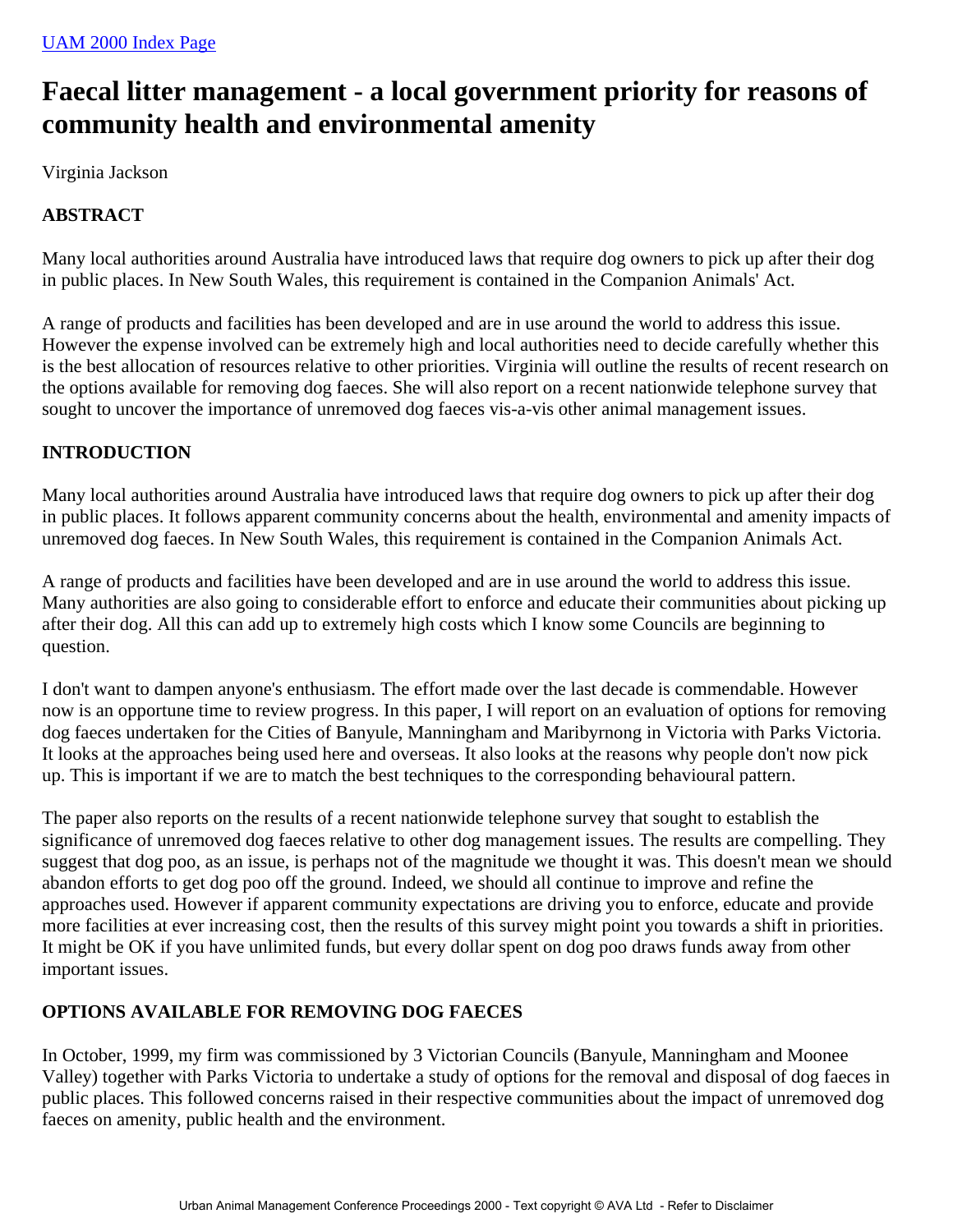# **Faecal litter management - a local government priority for reasons of community health and environmental amenity**

Virginia Jackson

# **ABSTRACT**

Many local authorities around Australia have introduced laws that require dog owners to pick up after their dog in public places. In New South Wales, this requirement is contained in the Companion Animals' Act.

A range of products and facilities has been developed and are in use around the world to address this issue. However the expense involved can be extremely high and local authorities need to decide carefully whether this is the best allocation of resources relative to other priorities. Virginia will outline the results of recent research on the options available for removing dog faeces. She will also report on a recent nationwide telephone survey that sought to uncover the importance of unremoved dog faeces vis-a-vis other animal management issues.

# **INTRODUCTION**

Many local authorities around Australia have introduced laws that require dog owners to pick up after their dog in public places. It follows apparent community concerns about the health, environmental and amenity impacts of unremoved dog faeces. In New South Wales, this requirement is contained in the Companion Animals Act.

A range of products and facilities have been developed and are in use around the world to address this issue. Many authorities are also going to considerable effort to enforce and educate their communities about picking up after their dog. All this can add up to extremely high costs which I know some Councils are beginning to question.

I don't want to dampen anyone's enthusiasm. The effort made over the last decade is commendable. However now is an opportune time to review progress. In this paper, I will report on an evaluation of options for removing dog faeces undertaken for the Cities of Banyule, Manningham and Maribyrnong in Victoria with Parks Victoria. It looks at the approaches being used here and overseas. It also looks at the reasons why people don't now pick up. This is important if we are to match the best techniques to the corresponding behavioural pattern.

The paper also reports on the results of a recent nationwide telephone survey that sought to establish the significance of unremoved dog faeces relative to other dog management issues. The results are compelling. They suggest that dog poo, as an issue, is perhaps not of the magnitude we thought it was. This doesn't mean we should abandon efforts to get dog poo off the ground. Indeed, we should all continue to improve and refine the approaches used. However if apparent community expectations are driving you to enforce, educate and provide more facilities at ever increasing cost, then the results of this survey might point you towards a shift in priorities. It might be OK if you have unlimited funds, but every dollar spent on dog poo draws funds away from other important issues.

# **OPTIONS AVAILABLE FOR REMOVING DOG FAECES**

In October, 1999, my firm was commissioned by 3 Victorian Councils (Banyule, Manningham and Moonee Valley) together with Parks Victoria to undertake a study of options for the removal and disposal of dog faeces in public places. This followed concerns raised in their respective communities about the impact of unremoved dog faeces on amenity, public health and the environment.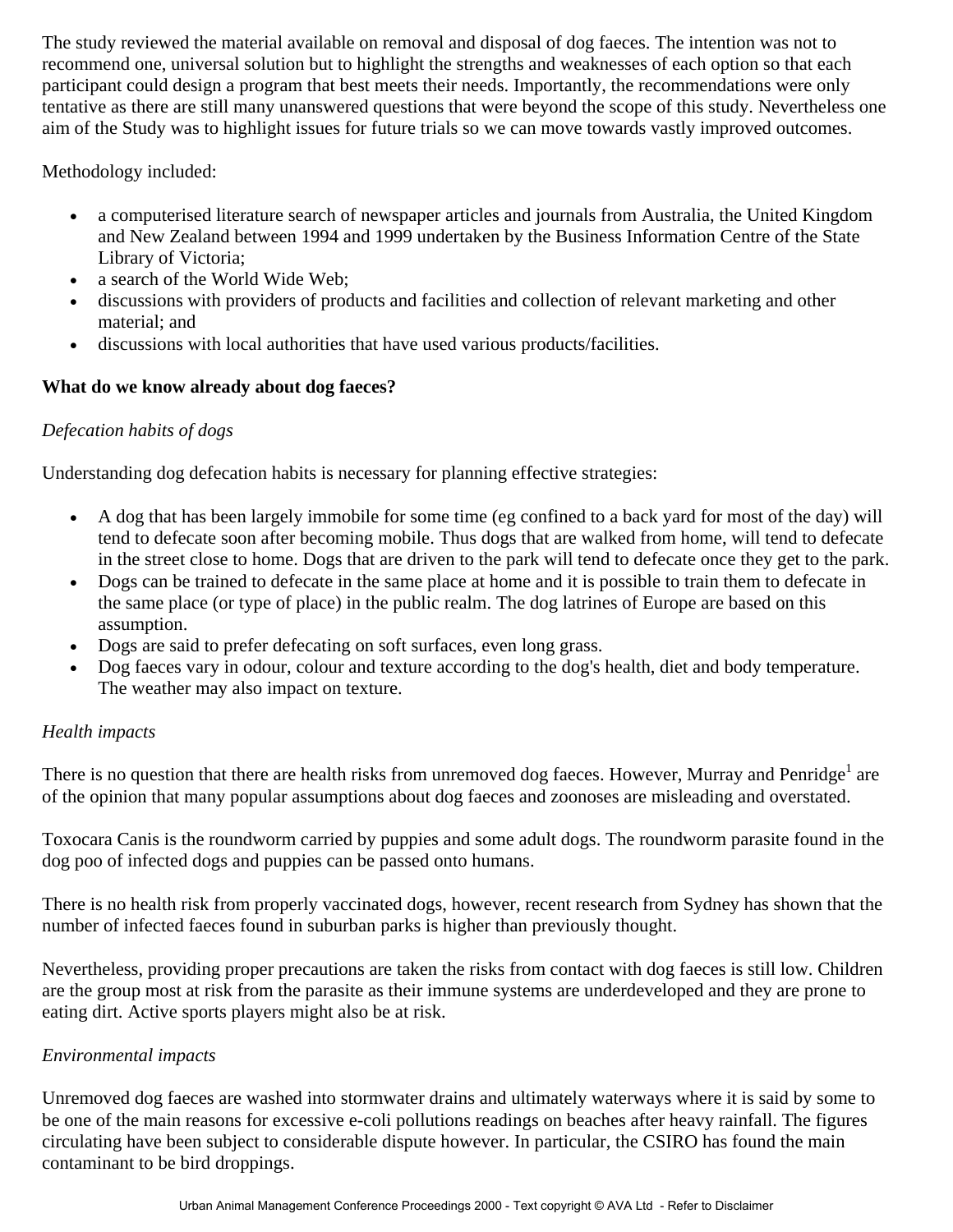The study reviewed the material available on removal and disposal of dog faeces. The intention was not to recommend one, universal solution but to highlight the strengths and weaknesses of each option so that each participant could design a program that best meets their needs. Importantly, the recommendations were only tentative as there are still many unanswered questions that were beyond the scope of this study. Nevertheless one aim of the Study was to highlight issues for future trials so we can move towards vastly improved outcomes.

Methodology included:

- a computerised literature search of newspaper articles and journals from Australia, the United Kingdom and New Zealand between 1994 and 1999 undertaken by the Business Information Centre of the State Library of Victoria;
- a search of the World Wide Web;
- discussions with providers of products and facilities and collection of relevant marketing and other material; and
- discussions with local authorities that have used various products/facilities.

# **What do we know already about dog faeces?**

# *Defecation habits of dogs*

Understanding dog defecation habits is necessary for planning effective strategies:

- A dog that has been largely immobile for some time (eg confined to a back yard for most of the day) will tend to defecate soon after becoming mobile. Thus dogs that are walked from home, will tend to defecate in the street close to home. Dogs that are driven to the park will tend to defecate once they get to the park.
- Dogs can be trained to defecate in the same place at home and it is possible to train them to defecate in the same place (or type of place) in the public realm. The dog latrines of Europe are based on this assumption.
- Dogs are said to prefer defecating on soft surfaces, even long grass.
- Dog faeces vary in odour, colour and texture according to the dog's health, diet and body temperature. The weather may also impact on texture.

# *Health impacts*

There is no question that there are health risks from unremoved dog faeces. However, Murray and Penridge<sup>1</sup> are of the opinion that many popular assumptions about dog faeces and zoonoses are misleading and overstated.

Toxocara Canis is the roundworm carried by puppies and some adult dogs. The roundworm parasite found in the dog poo of infected dogs and puppies can be passed onto humans.

There is no health risk from properly vaccinated dogs, however, recent research from Sydney has shown that the number of infected faeces found in suburban parks is higher than previously thought.

Nevertheless, providing proper precautions are taken the risks from contact with dog faeces is still low. Children are the group most at risk from the parasite as their immune systems are underdeveloped and they are prone to eating dirt. Active sports players might also be at risk.

#### *Environmental impacts*

Unremoved dog faeces are washed into stormwater drains and ultimately waterways where it is said by some to be one of the main reasons for excessive e-coli pollutions readings on beaches after heavy rainfall. The figures circulating have been subject to considerable dispute however. In particular, the CSIRO has found the main contaminant to be bird droppings.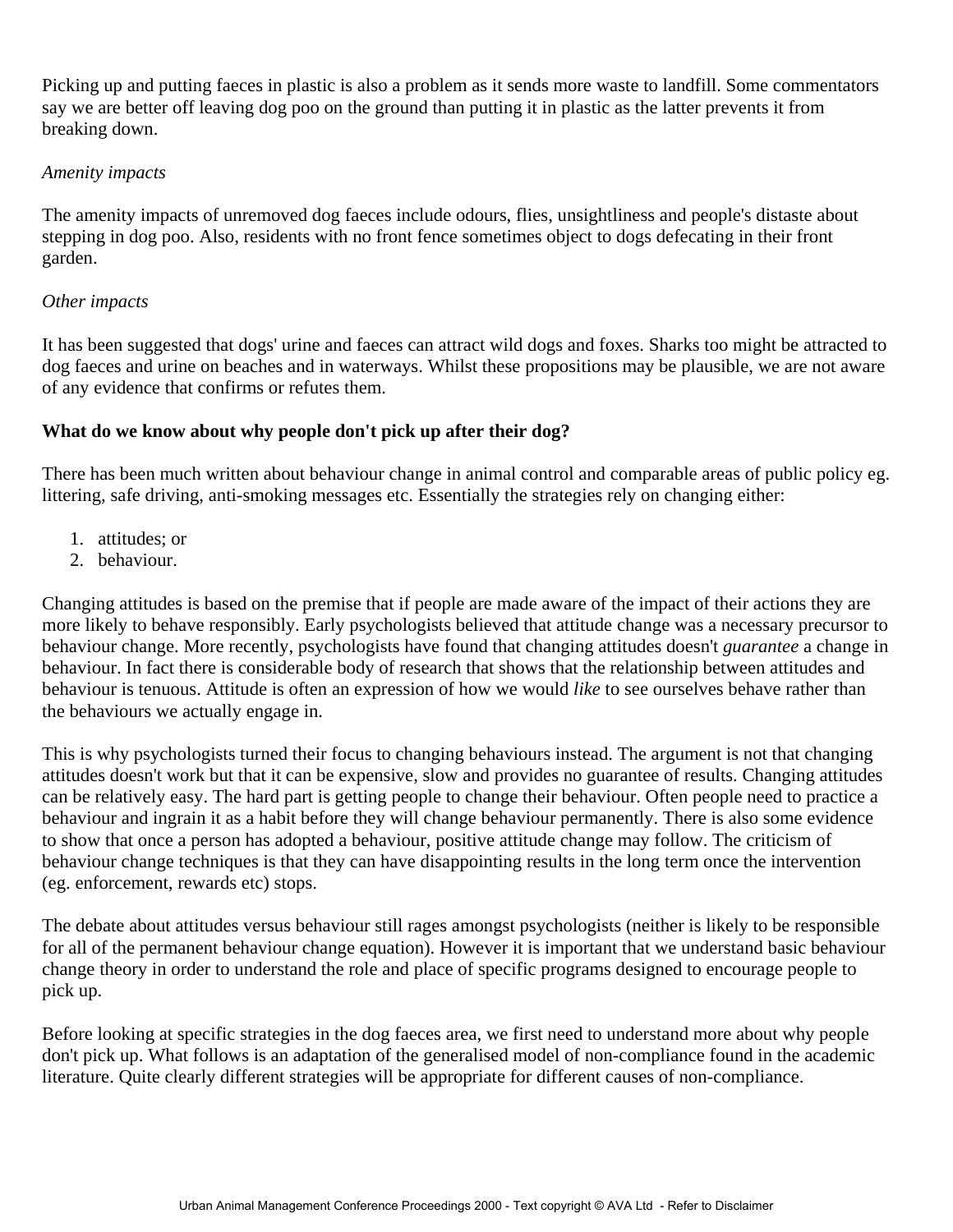Picking up and putting faeces in plastic is also a problem as it sends more waste to landfill. Some commentators say we are better off leaving dog poo on the ground than putting it in plastic as the latter prevents it from breaking down.

#### *Amenity impacts*

The amenity impacts of unremoved dog faeces include odours, flies, unsightliness and people's distaste about stepping in dog poo. Also, residents with no front fence sometimes object to dogs defecating in their front garden.

#### *Other impacts*

It has been suggested that dogs' urine and faeces can attract wild dogs and foxes. Sharks too might be attracted to dog faeces and urine on beaches and in waterways. Whilst these propositions may be plausible, we are not aware of any evidence that confirms or refutes them.

#### **What do we know about why people don't pick up after their dog?**

There has been much written about behaviour change in animal control and comparable areas of public policy eg. littering, safe driving, anti-smoking messages etc. Essentially the strategies rely on changing either:

- 1. attitudes; or
- 2. behaviour.

Changing attitudes is based on the premise that if people are made aware of the impact of their actions they are more likely to behave responsibly. Early psychologists believed that attitude change was a necessary precursor to behaviour change. More recently, psychologists have found that changing attitudes doesn't *guarantee* a change in behaviour. In fact there is considerable body of research that shows that the relationship between attitudes and behaviour is tenuous. Attitude is often an expression of how we would *like* to see ourselves behave rather than the behaviours we actually engage in.

This is why psychologists turned their focus to changing behaviours instead. The argument is not that changing attitudes doesn't work but that it can be expensive, slow and provides no guarantee of results. Changing attitudes can be relatively easy. The hard part is getting people to change their behaviour. Often people need to practice a behaviour and ingrain it as a habit before they will change behaviour permanently. There is also some evidence to show that once a person has adopted a behaviour, positive attitude change may follow. The criticism of behaviour change techniques is that they can have disappointing results in the long term once the intervention (eg. enforcement, rewards etc) stops.

The debate about attitudes versus behaviour still rages amongst psychologists (neither is likely to be responsible for all of the permanent behaviour change equation). However it is important that we understand basic behaviour change theory in order to understand the role and place of specific programs designed to encourage people to pick up.

Before looking at specific strategies in the dog faeces area, we first need to understand more about why people don't pick up. What follows is an adaptation of the generalised model of non-compliance found in the academic literature. Quite clearly different strategies will be appropriate for different causes of non-compliance.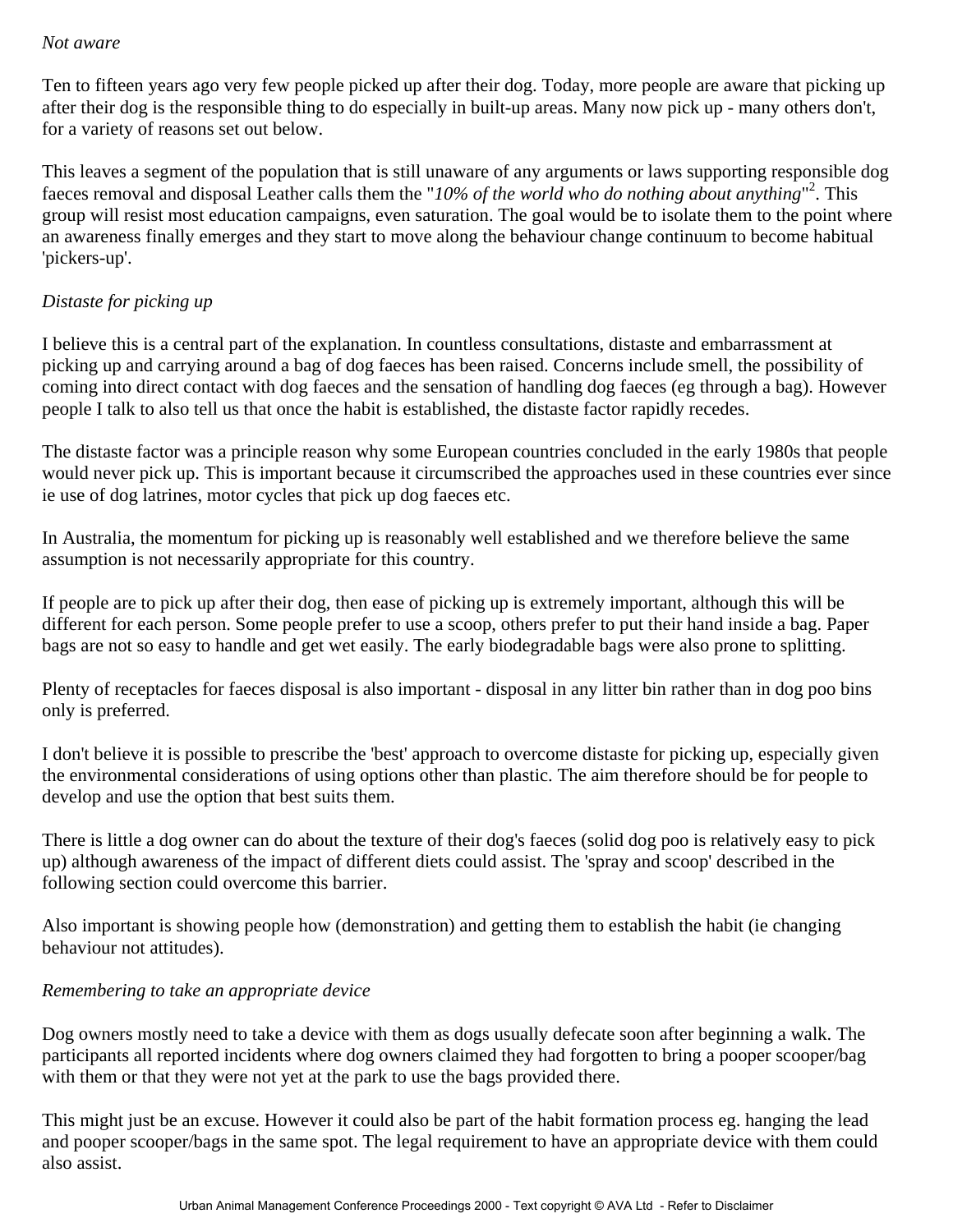#### *Not aware*

Ten to fifteen years ago very few people picked up after their dog. Today, more people are aware that picking up after their dog is the responsible thing to do especially in built-up areas. Many now pick up - many others don't, for a variety of reasons set out below.

This leaves a segment of the population that is still unaware of any arguments or laws supporting responsible dog faeces removal and disposal Leather calls them the "*10% of the world who do nothing about anything*" 2 . This group will resist most education campaigns, even saturation. The goal would be to isolate them to the point where an awareness finally emerges and they start to move along the behaviour change continuum to become habitual 'pickers-up'.

# *Distaste for picking up*

I believe this is a central part of the explanation. In countless consultations, distaste and embarrassment at picking up and carrying around a bag of dog faeces has been raised. Concerns include smell, the possibility of coming into direct contact with dog faeces and the sensation of handling dog faeces (eg through a bag). However people I talk to also tell us that once the habit is established, the distaste factor rapidly recedes.

The distaste factor was a principle reason why some European countries concluded in the early 1980s that people would never pick up. This is important because it circumscribed the approaches used in these countries ever since ie use of dog latrines, motor cycles that pick up dog faeces etc.

In Australia, the momentum for picking up is reasonably well established and we therefore believe the same assumption is not necessarily appropriate for this country.

If people are to pick up after their dog, then ease of picking up is extremely important, although this will be different for each person. Some people prefer to use a scoop, others prefer to put their hand inside a bag. Paper bags are not so easy to handle and get wet easily. The early biodegradable bags were also prone to splitting.

Plenty of receptacles for faeces disposal is also important - disposal in any litter bin rather than in dog poo bins only is preferred.

I don't believe it is possible to prescribe the 'best' approach to overcome distaste for picking up, especially given the environmental considerations of using options other than plastic. The aim therefore should be for people to develop and use the option that best suits them.

There is little a dog owner can do about the texture of their dog's faeces (solid dog poo is relatively easy to pick up) although awareness of the impact of different diets could assist. The 'spray and scoop' described in the following section could overcome this barrier.

Also important is showing people how (demonstration) and getting them to establish the habit (ie changing behaviour not attitudes).

#### *Remembering to take an appropriate device*

Dog owners mostly need to take a device with them as dogs usually defecate soon after beginning a walk. The participants all reported incidents where dog owners claimed they had forgotten to bring a pooper scooper/bag with them or that they were not yet at the park to use the bags provided there.

This might just be an excuse. However it could also be part of the habit formation process eg. hanging the lead and pooper scooper/bags in the same spot. The legal requirement to have an appropriate device with them could also assist.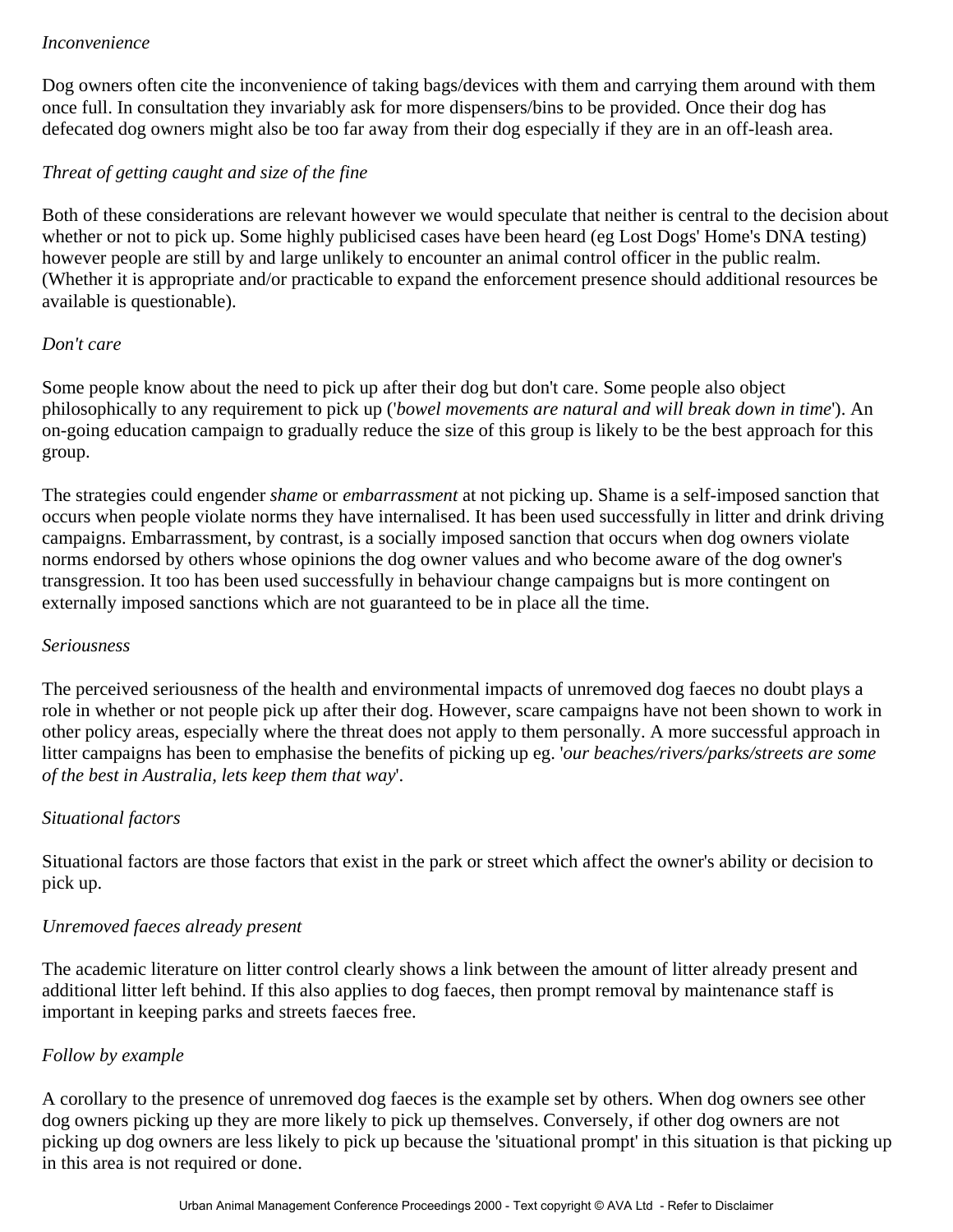#### *Inconvenience*

Dog owners often cite the inconvenience of taking bags/devices with them and carrying them around with them once full. In consultation they invariably ask for more dispensers/bins to be provided. Once their dog has defecated dog owners might also be too far away from their dog especially if they are in an off-leash area.

### *Threat of getting caught and size of the fine*

Both of these considerations are relevant however we would speculate that neither is central to the decision about whether or not to pick up. Some highly publicised cases have been heard (eg Lost Dogs' Home's DNA testing) however people are still by and large unlikely to encounter an animal control officer in the public realm. (Whether it is appropriate and/or practicable to expand the enforcement presence should additional resources be available is questionable).

#### *Don't care*

Some people know about the need to pick up after their dog but don't care. Some people also object philosophically to any requirement to pick up ('*bowel movements are natural and will break down in time*'). An on-going education campaign to gradually reduce the size of this group is likely to be the best approach for this group.

The strategies could engender *shame* or *embarrassment* at not picking up. Shame is a self-imposed sanction that occurs when people violate norms they have internalised. It has been used successfully in litter and drink driving campaigns. Embarrassment, by contrast, is a socially imposed sanction that occurs when dog owners violate norms endorsed by others whose opinions the dog owner values and who become aware of the dog owner's transgression. It too has been used successfully in behaviour change campaigns but is more contingent on externally imposed sanctions which are not guaranteed to be in place all the time.

#### *Seriousness*

The perceived seriousness of the health and environmental impacts of unremoved dog faeces no doubt plays a role in whether or not people pick up after their dog. However, scare campaigns have not been shown to work in other policy areas, especially where the threat does not apply to them personally. A more successful approach in litter campaigns has been to emphasise the benefits of picking up eg. '*our beaches/rivers/parks/streets are some of the best in Australia, lets keep them that way*'.

#### *Situational factors*

Situational factors are those factors that exist in the park or street which affect the owner's ability or decision to pick up.

#### *Unremoved faeces already present*

The academic literature on litter control clearly shows a link between the amount of litter already present and additional litter left behind. If this also applies to dog faeces, then prompt removal by maintenance staff is important in keeping parks and streets faeces free.

#### *Follow by example*

A corollary to the presence of unremoved dog faeces is the example set by others. When dog owners see other dog owners picking up they are more likely to pick up themselves. Conversely, if other dog owners are not picking up dog owners are less likely to pick up because the 'situational prompt' in this situation is that picking up in this area is not required or done.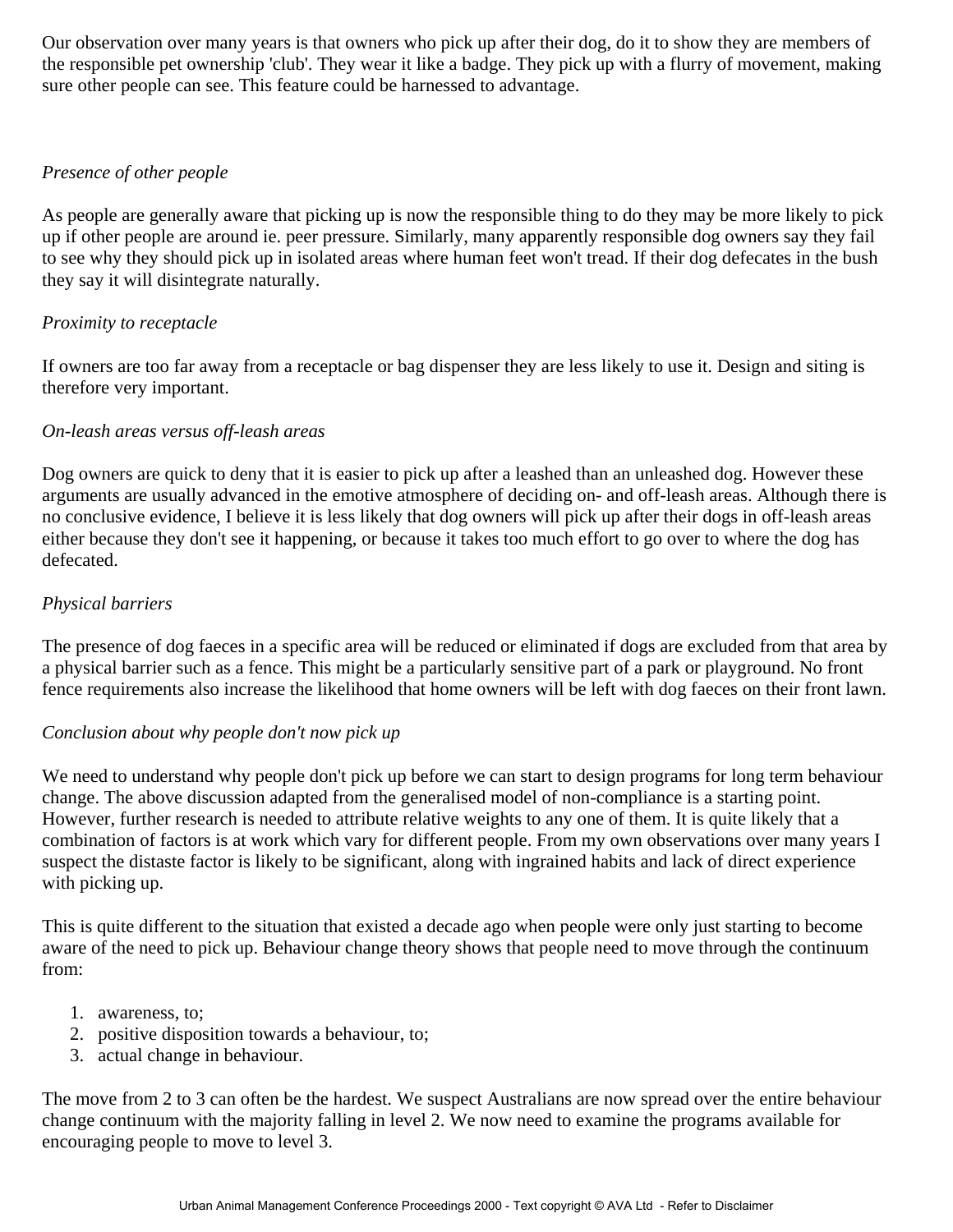Our observation over many years is that owners who pick up after their dog, do it to show they are members of the responsible pet ownership 'club'. They wear it like a badge. They pick up with a flurry of movement, making sure other people can see. This feature could be harnessed to advantage.

#### *Presence of other people*

As people are generally aware that picking up is now the responsible thing to do they may be more likely to pick up if other people are around ie. peer pressure. Similarly, many apparently responsible dog owners say they fail to see why they should pick up in isolated areas where human feet won't tread. If their dog defecates in the bush they say it will disintegrate naturally.

#### *Proximity to receptacle*

If owners are too far away from a receptacle or bag dispenser they are less likely to use it. Design and siting is therefore very important.

#### *On-leash areas versus off-leash areas*

Dog owners are quick to deny that it is easier to pick up after a leashed than an unleashed dog. However these arguments are usually advanced in the emotive atmosphere of deciding on- and off-leash areas. Although there is no conclusive evidence, I believe it is less likely that dog owners will pick up after their dogs in off-leash areas either because they don't see it happening, or because it takes too much effort to go over to where the dog has defecated.

#### *Physical barriers*

The presence of dog faeces in a specific area will be reduced or eliminated if dogs are excluded from that area by a physical barrier such as a fence. This might be a particularly sensitive part of a park or playground. No front fence requirements also increase the likelihood that home owners will be left with dog faeces on their front lawn.

#### *Conclusion about why people don't now pick up*

We need to understand why people don't pick up before we can start to design programs for long term behaviour change. The above discussion adapted from the generalised model of non-compliance is a starting point. However, further research is needed to attribute relative weights to any one of them. It is quite likely that a combination of factors is at work which vary for different people. From my own observations over many years I suspect the distaste factor is likely to be significant, along with ingrained habits and lack of direct experience with picking up.

This is quite different to the situation that existed a decade ago when people were only just starting to become aware of the need to pick up. Behaviour change theory shows that people need to move through the continuum from:

- 1. awareness, to;
- 2. positive disposition towards a behaviour, to;
- 3. actual change in behaviour.

The move from 2 to 3 can often be the hardest. We suspect Australians are now spread over the entire behaviour change continuum with the majority falling in level 2. We now need to examine the programs available for encouraging people to move to level 3.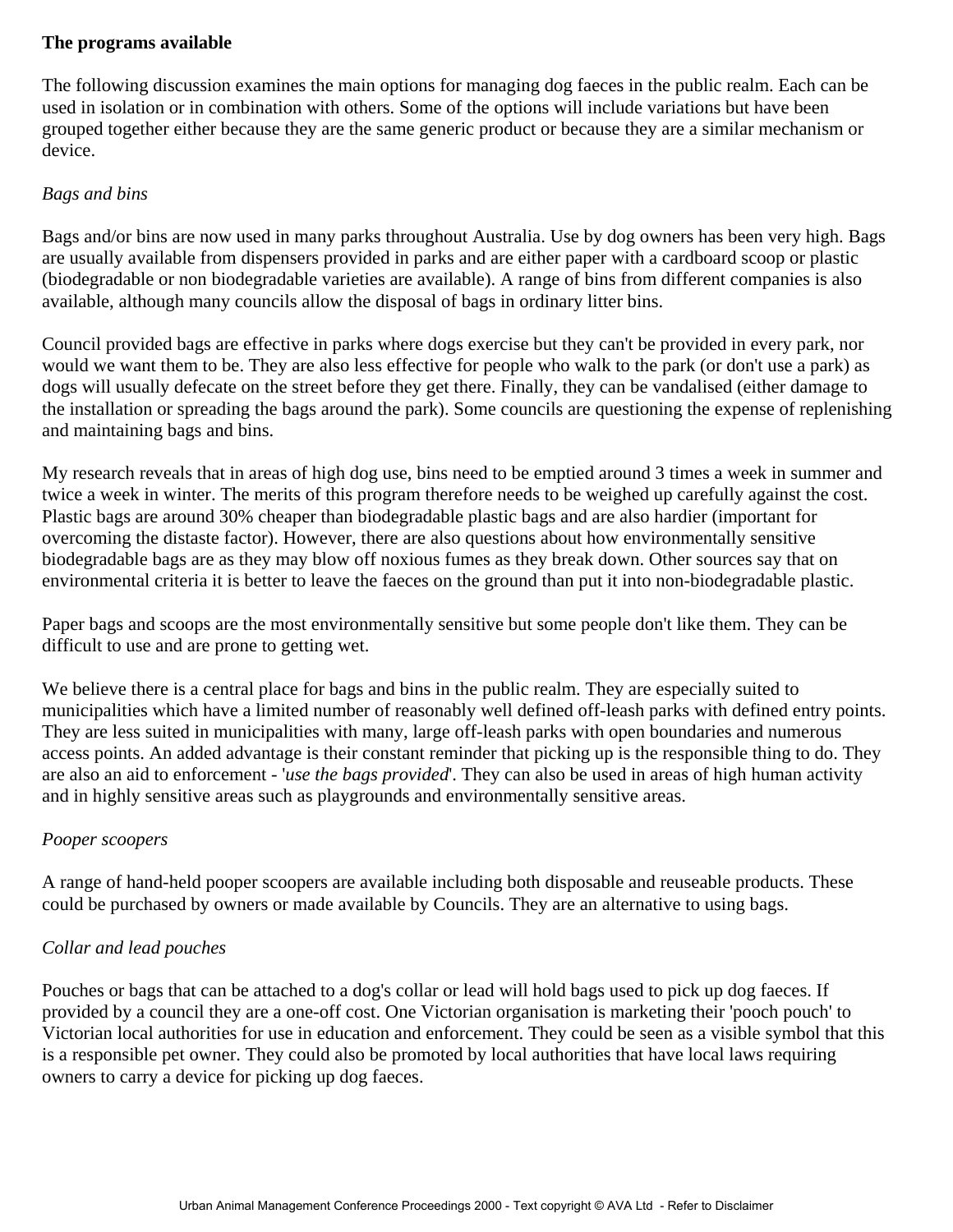#### **The programs available**

The following discussion examines the main options for managing dog faeces in the public realm. Each can be used in isolation or in combination with others. Some of the options will include variations but have been grouped together either because they are the same generic product or because they are a similar mechanism or device.

#### *Bags and bins*

Bags and/or bins are now used in many parks throughout Australia. Use by dog owners has been very high. Bags are usually available from dispensers provided in parks and are either paper with a cardboard scoop or plastic (biodegradable or non biodegradable varieties are available). A range of bins from different companies is also available, although many councils allow the disposal of bags in ordinary litter bins.

Council provided bags are effective in parks where dogs exercise but they can't be provided in every park, nor would we want them to be. They are also less effective for people who walk to the park (or don't use a park) as dogs will usually defecate on the street before they get there. Finally, they can be vandalised (either damage to the installation or spreading the bags around the park). Some councils are questioning the expense of replenishing and maintaining bags and bins.

My research reveals that in areas of high dog use, bins need to be emptied around 3 times a week in summer and twice a week in winter. The merits of this program therefore needs to be weighed up carefully against the cost. Plastic bags are around 30% cheaper than biodegradable plastic bags and are also hardier (important for overcoming the distaste factor). However, there are also questions about how environmentally sensitive biodegradable bags are as they may blow off noxious fumes as they break down. Other sources say that on environmental criteria it is better to leave the faeces on the ground than put it into non-biodegradable plastic.

Paper bags and scoops are the most environmentally sensitive but some people don't like them. They can be difficult to use and are prone to getting wet.

We believe there is a central place for bags and bins in the public realm. They are especially suited to municipalities which have a limited number of reasonably well defined off-leash parks with defined entry points. They are less suited in municipalities with many, large off-leash parks with open boundaries and numerous access points. An added advantage is their constant reminder that picking up is the responsible thing to do. They are also an aid to enforcement - '*use the bags provided*'. They can also be used in areas of high human activity and in highly sensitive areas such as playgrounds and environmentally sensitive areas.

#### *Pooper scoopers*

A range of hand-held pooper scoopers are available including both disposable and reuseable products. These could be purchased by owners or made available by Councils. They are an alternative to using bags.

#### *Collar and lead pouches*

Pouches or bags that can be attached to a dog's collar or lead will hold bags used to pick up dog faeces. If provided by a council they are a one-off cost. One Victorian organisation is marketing their 'pooch pouch' to Victorian local authorities for use in education and enforcement. They could be seen as a visible symbol that this is a responsible pet owner. They could also be promoted by local authorities that have local laws requiring owners to carry a device for picking up dog faeces.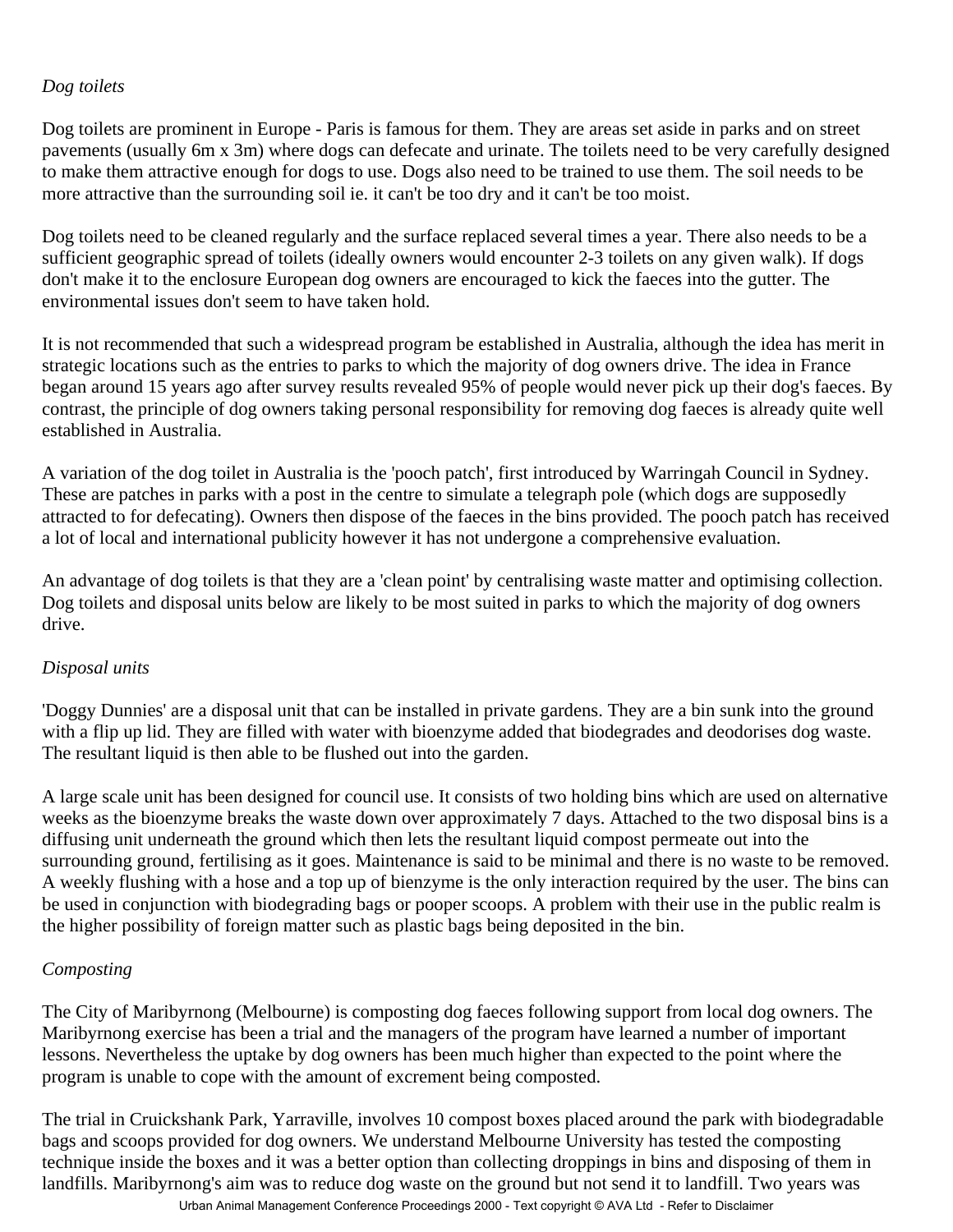#### *Dog toilets*

Dog toilets are prominent in Europe - Paris is famous for them. They are areas set aside in parks and on street pavements (usually 6m x 3m) where dogs can defecate and urinate. The toilets need to be very carefully designed to make them attractive enough for dogs to use. Dogs also need to be trained to use them. The soil needs to be more attractive than the surrounding soil ie. it can't be too dry and it can't be too moist.

Dog toilets need to be cleaned regularly and the surface replaced several times a year. There also needs to be a sufficient geographic spread of toilets (ideally owners would encounter 2-3 toilets on any given walk). If dogs don't make it to the enclosure European dog owners are encouraged to kick the faeces into the gutter. The environmental issues don't seem to have taken hold.

It is not recommended that such a widespread program be established in Australia, although the idea has merit in strategic locations such as the entries to parks to which the majority of dog owners drive. The idea in France began around 15 years ago after survey results revealed 95% of people would never pick up their dog's faeces. By contrast, the principle of dog owners taking personal responsibility for removing dog faeces is already quite well established in Australia.

A variation of the dog toilet in Australia is the 'pooch patch', first introduced by Warringah Council in Sydney. These are patches in parks with a post in the centre to simulate a telegraph pole (which dogs are supposedly attracted to for defecating). Owners then dispose of the faeces in the bins provided. The pooch patch has received a lot of local and international publicity however it has not undergone a comprehensive evaluation.

An advantage of dog toilets is that they are a 'clean point' by centralising waste matter and optimising collection. Dog toilets and disposal units below are likely to be most suited in parks to which the majority of dog owners drive.

#### *Disposal units*

'Doggy Dunnies' are a disposal unit that can be installed in private gardens. They are a bin sunk into the ground with a flip up lid. They are filled with water with bioenzyme added that biodegrades and deodorises dog waste. The resultant liquid is then able to be flushed out into the garden.

A large scale unit has been designed for council use. It consists of two holding bins which are used on alternative weeks as the bioenzyme breaks the waste down over approximately 7 days. Attached to the two disposal bins is a diffusing unit underneath the ground which then lets the resultant liquid compost permeate out into the surrounding ground, fertilising as it goes. Maintenance is said to be minimal and there is no waste to be removed. A weekly flushing with a hose and a top up of bienzyme is the only interaction required by the user. The bins can be used in conjunction with biodegrading bags or pooper scoops. A problem with their use in the public realm is the higher possibility of foreign matter such as plastic bags being deposited in the bin.

#### *Composting*

The City of Maribyrnong (Melbourne) is composting dog faeces following support from local dog owners. The Maribyrnong exercise has been a trial and the managers of the program have learned a number of important lessons. Nevertheless the uptake by dog owners has been much higher than expected to the point where the program is unable to cope with the amount of excrement being composted.

The trial in Cruickshank Park, Yarraville, involves 10 compost boxes placed around the park with biodegradable bags and scoops provided for dog owners. We understand Melbourne University has tested the composting technique inside the boxes and it was a better option than collecting droppings in bins and disposing of them in landfills. Maribyrnong's aim was to reduce dog waste on the ground but not send it to landfill. Two years was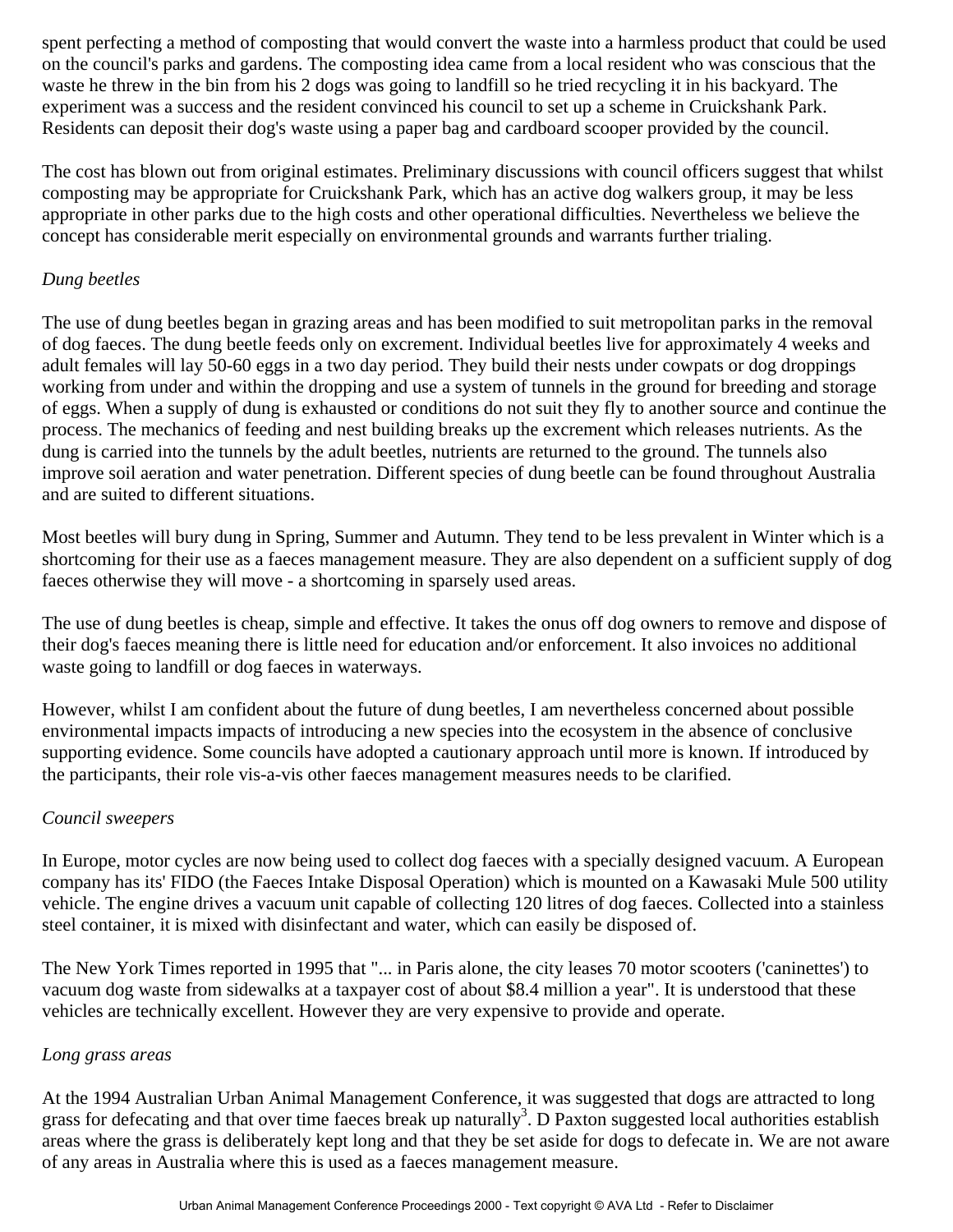spent perfecting a method of composting that would convert the waste into a harmless product that could be used on the council's parks and gardens. The composting idea came from a local resident who was conscious that the waste he threw in the bin from his 2 dogs was going to landfill so he tried recycling it in his backyard. The experiment was a success and the resident convinced his council to set up a scheme in Cruickshank Park. Residents can deposit their dog's waste using a paper bag and cardboard scooper provided by the council.

The cost has blown out from original estimates. Preliminary discussions with council officers suggest that whilst composting may be appropriate for Cruickshank Park, which has an active dog walkers group, it may be less appropriate in other parks due to the high costs and other operational difficulties. Nevertheless we believe the concept has considerable merit especially on environmental grounds and warrants further trialing.

#### *Dung beetles*

The use of dung beetles began in grazing areas and has been modified to suit metropolitan parks in the removal of dog faeces. The dung beetle feeds only on excrement. Individual beetles live for approximately 4 weeks and adult females will lay 50-60 eggs in a two day period. They build their nests under cowpats or dog droppings working from under and within the dropping and use a system of tunnels in the ground for breeding and storage of eggs. When a supply of dung is exhausted or conditions do not suit they fly to another source and continue the process. The mechanics of feeding and nest building breaks up the excrement which releases nutrients. As the dung is carried into the tunnels by the adult beetles, nutrients are returned to the ground. The tunnels also improve soil aeration and water penetration. Different species of dung beetle can be found throughout Australia and are suited to different situations.

Most beetles will bury dung in Spring, Summer and Autumn. They tend to be less prevalent in Winter which is a shortcoming for their use as a faeces management measure. They are also dependent on a sufficient supply of dog faeces otherwise they will move - a shortcoming in sparsely used areas.

The use of dung beetles is cheap, simple and effective. It takes the onus off dog owners to remove and dispose of their dog's faeces meaning there is little need for education and/or enforcement. It also invoices no additional waste going to landfill or dog faeces in waterways.

However, whilst I am confident about the future of dung beetles, I am nevertheless concerned about possible environmental impacts impacts of introducing a new species into the ecosystem in the absence of conclusive supporting evidence. Some councils have adopted a cautionary approach until more is known. If introduced by the participants, their role vis-a-vis other faeces management measures needs to be clarified.

#### *Council sweepers*

In Europe, motor cycles are now being used to collect dog faeces with a specially designed vacuum. A European company has its' FIDO (the Faeces Intake Disposal Operation) which is mounted on a Kawasaki Mule 500 utility vehicle. The engine drives a vacuum unit capable of collecting 120 litres of dog faeces. Collected into a stainless steel container, it is mixed with disinfectant and water, which can easily be disposed of.

The New York Times reported in 1995 that "... in Paris alone, the city leases 70 motor scooters ('caninettes') to vacuum dog waste from sidewalks at a taxpayer cost of about \$8.4 million a year". It is understood that these vehicles are technically excellent. However they are very expensive to provide and operate.

#### *Long grass areas*

At the 1994 Australian Urban Animal Management Conference, it was suggested that dogs are attracted to long grass for defecating and that over time faeces break up naturally<sup>3</sup>. D Paxton suggested local authorities establish areas where the grass is deliberately kept long and that they be set aside for dogs to defecate in. We are not aware of any areas in Australia where this is used as a faeces management measure.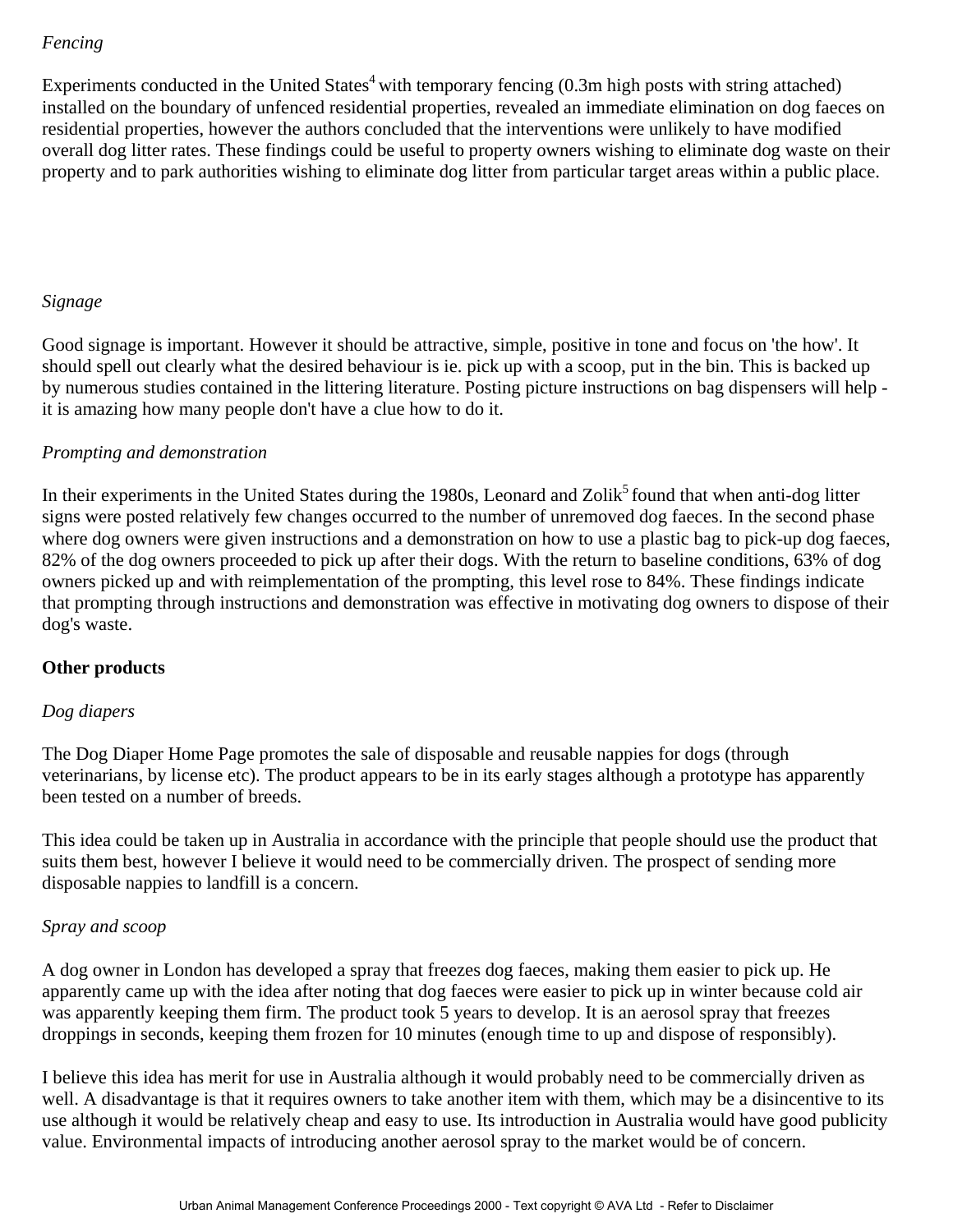#### *Fencing*

Experiments conducted in the United States<sup>4</sup> with temporary fencing  $(0.3m$  high posts with string attached) installed on the boundary of unfenced residential properties, revealed an immediate elimination on dog faeces on residential properties, however the authors concluded that the interventions were unlikely to have modified overall dog litter rates. These findings could be useful to property owners wishing to eliminate dog waste on their property and to park authorities wishing to eliminate dog litter from particular target areas within a public place.

#### *Signage*

Good signage is important. However it should be attractive, simple, positive in tone and focus on 'the how'. It should spell out clearly what the desired behaviour is ie. pick up with a scoop, put in the bin. This is backed up by numerous studies contained in the littering literature. Posting picture instructions on bag dispensers will help it is amazing how many people don't have a clue how to do it.

#### *Prompting and demonstration*

In their experiments in the United States during the 1980s, Leonard and Zolik<sup>5</sup> found that when anti-dog litter signs were posted relatively few changes occurred to the number of unremoved dog faeces. In the second phase where dog owners were given instructions and a demonstration on how to use a plastic bag to pick-up dog faeces, 82% of the dog owners proceeded to pick up after their dogs. With the return to baseline conditions, 63% of dog owners picked up and with reimplementation of the prompting, this level rose to 84%. These findings indicate that prompting through instructions and demonstration was effective in motivating dog owners to dispose of their dog's waste.

#### **Other products**

#### *Dog diapers*

The Dog Diaper Home Page promotes the sale of disposable and reusable nappies for dogs (through veterinarians, by license etc). The product appears to be in its early stages although a prototype has apparently been tested on a number of breeds.

This idea could be taken up in Australia in accordance with the principle that people should use the product that suits them best, however I believe it would need to be commercially driven. The prospect of sending more disposable nappies to landfill is a concern.

#### *Spray and scoop*

A dog owner in London has developed a spray that freezes dog faeces, making them easier to pick up. He apparently came up with the idea after noting that dog faeces were easier to pick up in winter because cold air was apparently keeping them firm. The product took 5 years to develop. It is an aerosol spray that freezes droppings in seconds, keeping them frozen for 10 minutes (enough time to up and dispose of responsibly).

I believe this idea has merit for use in Australia although it would probably need to be commercially driven as well. A disadvantage is that it requires owners to take another item with them, which may be a disincentive to its use although it would be relatively cheap and easy to use. Its introduction in Australia would have good publicity value. Environmental impacts of introducing another aerosol spray to the market would be of concern.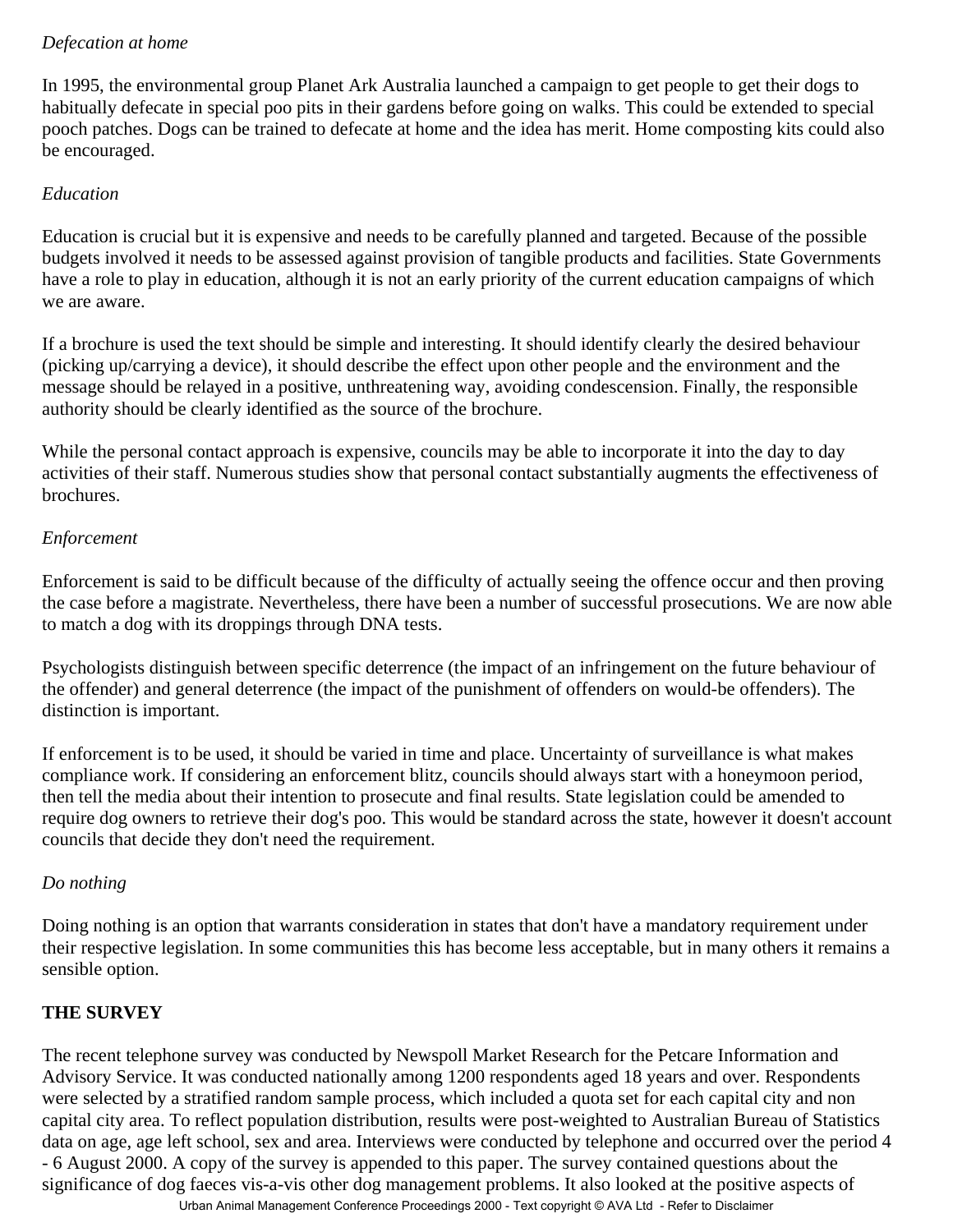#### *Defecation at home*

In 1995, the environmental group Planet Ark Australia launched a campaign to get people to get their dogs to habitually defecate in special poo pits in their gardens before going on walks. This could be extended to special pooch patches. Dogs can be trained to defecate at home and the idea has merit. Home composting kits could also be encouraged.

### *Education*

Education is crucial but it is expensive and needs to be carefully planned and targeted. Because of the possible budgets involved it needs to be assessed against provision of tangible products and facilities. State Governments have a role to play in education, although it is not an early priority of the current education campaigns of which we are aware.

If a brochure is used the text should be simple and interesting. It should identify clearly the desired behaviour (picking up/carrying a device), it should describe the effect upon other people and the environment and the message should be relayed in a positive, unthreatening way, avoiding condescension. Finally, the responsible authority should be clearly identified as the source of the brochure.

While the personal contact approach is expensive, councils may be able to incorporate it into the day to day activities of their staff. Numerous studies show that personal contact substantially augments the effectiveness of brochures.

# *Enforcement*

Enforcement is said to be difficult because of the difficulty of actually seeing the offence occur and then proving the case before a magistrate. Nevertheless, there have been a number of successful prosecutions. We are now able to match a dog with its droppings through DNA tests.

Psychologists distinguish between specific deterrence (the impact of an infringement on the future behaviour of the offender) and general deterrence (the impact of the punishment of offenders on would-be offenders). The distinction is important.

If enforcement is to be used, it should be varied in time and place. Uncertainty of surveillance is what makes compliance work. If considering an enforcement blitz, councils should always start with a honeymoon period, then tell the media about their intention to prosecute and final results. State legislation could be amended to require dog owners to retrieve their dog's poo. This would be standard across the state, however it doesn't account councils that decide they don't need the requirement.

# *Do nothing*

Doing nothing is an option that warrants consideration in states that don't have a mandatory requirement under their respective legislation. In some communities this has become less acceptable, but in many others it remains a sensible option.

# **THE SURVEY**

The recent telephone survey was conducted by Newspoll Market Research for the Petcare Information and Advisory Service. It was conducted nationally among 1200 respondents aged 18 years and over. Respondents were selected by a stratified random sample process, which included a quota set for each capital city and non capital city area. To reflect population distribution, results were post-weighted to Australian Bureau of Statistics data on age, age left school, sex and area. Interviews were conducted by telephone and occurred over the period 4 - 6 August 2000. A copy of the survey is appended to this paper. The survey contained questions about the significance of dog faeces vis-a-vis other dog management problems. It also looked at the positive aspects of

Urban Animal Management Conference Proceedings 2000 - Text copyright © AVA Ltd - Refer to Disclaimer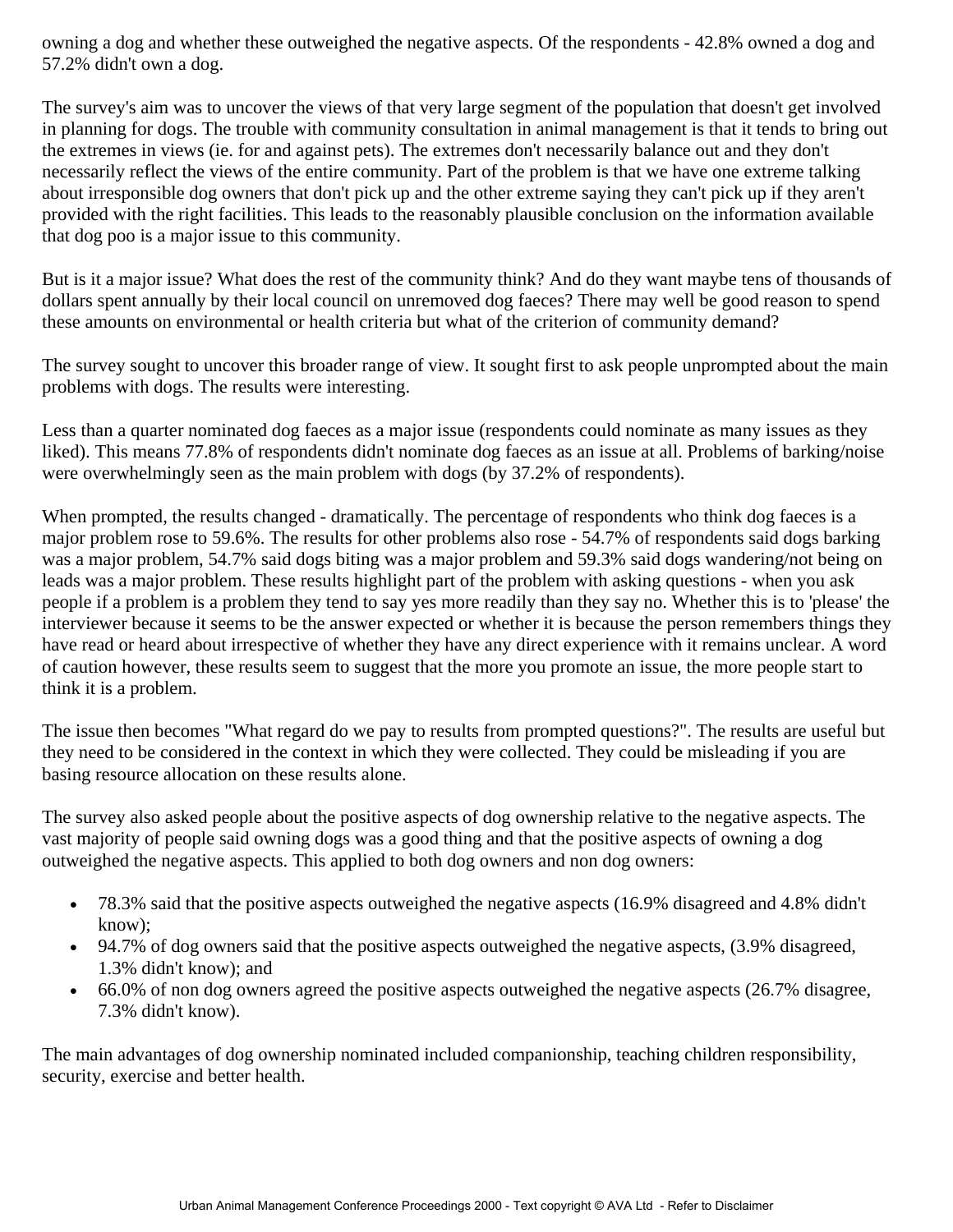owning a dog and whether these outweighed the negative aspects. Of the respondents - 42.8% owned a dog and 57.2% didn't own a dog.

The survey's aim was to uncover the views of that very large segment of the population that doesn't get involved in planning for dogs. The trouble with community consultation in animal management is that it tends to bring out the extremes in views (ie. for and against pets). The extremes don't necessarily balance out and they don't necessarily reflect the views of the entire community. Part of the problem is that we have one extreme talking about irresponsible dog owners that don't pick up and the other extreme saying they can't pick up if they aren't provided with the right facilities. This leads to the reasonably plausible conclusion on the information available that dog poo is a major issue to this community.

But is it a major issue? What does the rest of the community think? And do they want maybe tens of thousands of dollars spent annually by their local council on unremoved dog faeces? There may well be good reason to spend these amounts on environmental or health criteria but what of the criterion of community demand?

The survey sought to uncover this broader range of view. It sought first to ask people unprompted about the main problems with dogs. The results were interesting.

Less than a quarter nominated dog faeces as a major issue (respondents could nominate as many issues as they liked). This means 77.8% of respondents didn't nominate dog faeces as an issue at all. Problems of barking/noise were overwhelmingly seen as the main problem with dogs (by 37.2% of respondents).

When prompted, the results changed - dramatically. The percentage of respondents who think dog faeces is a major problem rose to 59.6%. The results for other problems also rose - 54.7% of respondents said dogs barking was a major problem, 54.7% said dogs biting was a major problem and 59.3% said dogs wandering/not being on leads was a major problem. These results highlight part of the problem with asking questions - when you ask people if a problem is a problem they tend to say yes more readily than they say no. Whether this is to 'please' the interviewer because it seems to be the answer expected or whether it is because the person remembers things they have read or heard about irrespective of whether they have any direct experience with it remains unclear. A word of caution however, these results seem to suggest that the more you promote an issue, the more people start to think it is a problem.

The issue then becomes "What regard do we pay to results from prompted questions?". The results are useful but they need to be considered in the context in which they were collected. They could be misleading if you are basing resource allocation on these results alone.

The survey also asked people about the positive aspects of dog ownership relative to the negative aspects. The vast majority of people said owning dogs was a good thing and that the positive aspects of owning a dog outweighed the negative aspects. This applied to both dog owners and non dog owners:

- 78.3% said that the positive aspects outweighed the negative aspects (16.9% disagreed and 4.8% didn't know);
- 94.7% of dog owners said that the positive aspects outweighed the negative aspects, (3.9% disagreed, 1.3% didn't know); and
- 66.0% of non dog owners agreed the positive aspects outweighed the negative aspects (26.7% disagree, 7.3% didn't know).

The main advantages of dog ownership nominated included companionship, teaching children responsibility, security, exercise and better health.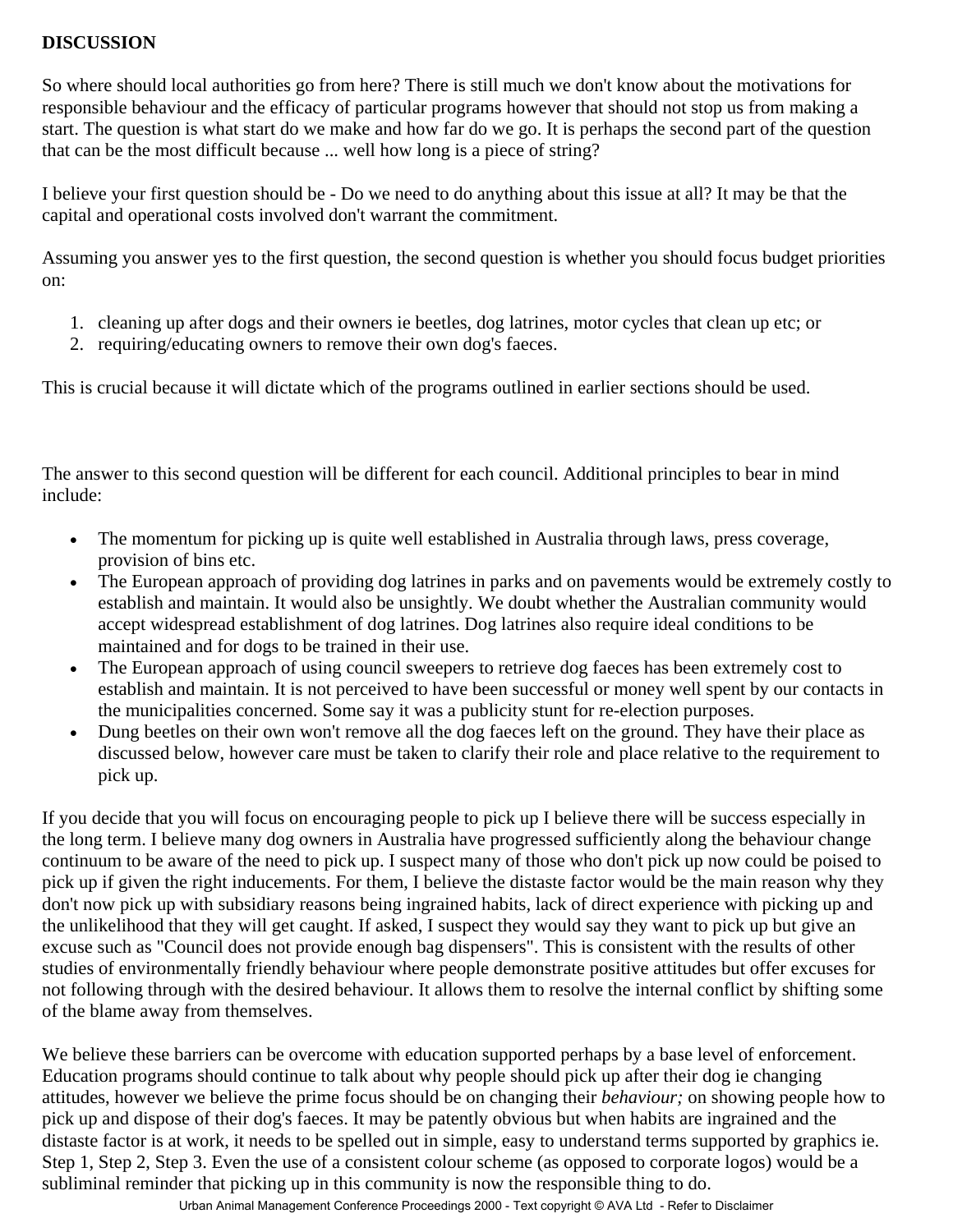### **DISCUSSION**

So where should local authorities go from here? There is still much we don't know about the motivations for responsible behaviour and the efficacy of particular programs however that should not stop us from making a start. The question is what start do we make and how far do we go. It is perhaps the second part of the question that can be the most difficult because ... well how long is a piece of string?

I believe your first question should be - Do we need to do anything about this issue at all? It may be that the capital and operational costs involved don't warrant the commitment.

Assuming you answer yes to the first question, the second question is whether you should focus budget priorities on:

- 1. cleaning up after dogs and their owners ie beetles, dog latrines, motor cycles that clean up etc; or
- 2. requiring/educating owners to remove their own dog's faeces.

This is crucial because it will dictate which of the programs outlined in earlier sections should be used.

The answer to this second question will be different for each council. Additional principles to bear in mind include:

- The momentum for picking up is quite well established in Australia through laws, press coverage, provision of bins etc.
- The European approach of providing dog latrines in parks and on pavements would be extremely costly to establish and maintain. It would also be unsightly. We doubt whether the Australian community would accept widespread establishment of dog latrines. Dog latrines also require ideal conditions to be maintained and for dogs to be trained in their use.
- The European approach of using council sweepers to retrieve dog faeces has been extremely cost to establish and maintain. It is not perceived to have been successful or money well spent by our contacts in the municipalities concerned. Some say it was a publicity stunt for re-election purposes.
- Dung beetles on their own won't remove all the dog faeces left on the ground. They have their place as discussed below, however care must be taken to clarify their role and place relative to the requirement to pick up.

If you decide that you will focus on encouraging people to pick up I believe there will be success especially in the long term. I believe many dog owners in Australia have progressed sufficiently along the behaviour change continuum to be aware of the need to pick up. I suspect many of those who don't pick up now could be poised to pick up if given the right inducements. For them, I believe the distaste factor would be the main reason why they don't now pick up with subsidiary reasons being ingrained habits, lack of direct experience with picking up and the unlikelihood that they will get caught. If asked, I suspect they would say they want to pick up but give an excuse such as "Council does not provide enough bag dispensers". This is consistent with the results of other studies of environmentally friendly behaviour where people demonstrate positive attitudes but offer excuses for not following through with the desired behaviour. It allows them to resolve the internal conflict by shifting some of the blame away from themselves.

We believe these barriers can be overcome with education supported perhaps by a base level of enforcement. Education programs should continue to talk about why people should pick up after their dog ie changing attitudes, however we believe the prime focus should be on changing their *behaviour;* on showing people how to pick up and dispose of their dog's faeces. It may be patently obvious but when habits are ingrained and the distaste factor is at work, it needs to be spelled out in simple, easy to understand terms supported by graphics ie. Step 1, Step 2, Step 3. Even the use of a consistent colour scheme (as opposed to corporate logos) would be a subliminal reminder that picking up in this community is now the responsible thing to do.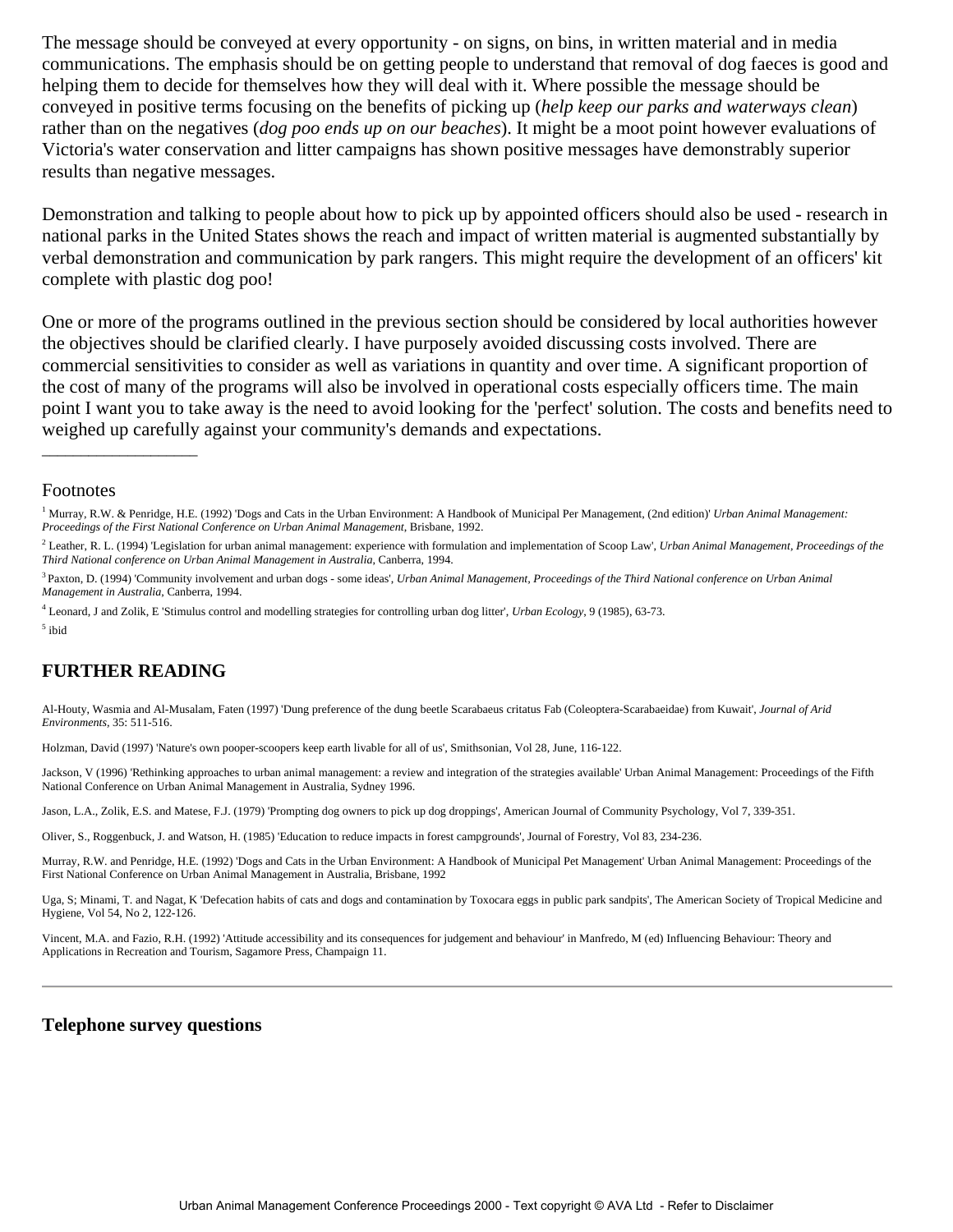The message should be conveyed at every opportunity - on signs, on bins, in written material and in media communications. The emphasis should be on getting people to understand that removal of dog faeces is good and helping them to decide for themselves how they will deal with it. Where possible the message should be conveyed in positive terms focusing on the benefits of picking up (*help keep our parks and waterways clean*) rather than on the negatives (*dog poo ends up on our beaches*). It might be a moot point however evaluations of Victoria's water conservation and litter campaigns has shown positive messages have demonstrably superior results than negative messages.

Demonstration and talking to people about how to pick up by appointed officers should also be used - research in national parks in the United States shows the reach and impact of written material is augmented substantially by verbal demonstration and communication by park rangers. This might require the development of an officers' kit complete with plastic dog poo!

One or more of the programs outlined in the previous section should be considered by local authorities however the objectives should be clarified clearly. I have purposely avoided discussing costs involved. There are commercial sensitivities to consider as well as variations in quantity and over time. A significant proportion of the cost of many of the programs will also be involved in operational costs especially officers time. The main point I want you to take away is the need to avoid looking for the 'perfect' solution. The costs and benefits need to weighed up carefully against your community's demands and expectations.

#### Footnotes

#### **FURTHER READING**

Al-Houty, Wasmia and Al-Musalam, Faten (1997) 'Dung preference of the dung beetle Scarabaeus critatus Fab (Coleoptera-Scarabaeidae) from Kuwait', *Journal of Arid Environments,* 35: 511-516.

Holzman, David (1997) 'Nature's own pooper-scoopers keep earth livable for all of us', Smithsonian, Vol 28, June, 116-122.

Jackson, V (1996) 'Rethinking approaches to urban animal management: a review and integration of the strategies available' Urban Animal Management: Proceedings of the Fifth National Conference on Urban Animal Management in Australia, Sydney 1996.

Jason, L.A., Zolik, E.S. and Matese, F.J. (1979) 'Prompting dog owners to pick up dog droppings', American Journal of Community Psychology, Vol 7, 339-351.

Oliver, S., Roggenbuck, J. and Watson, H. (1985) 'Education to reduce impacts in forest campgrounds', Journal of Forestry, Vol 83, 234-236.

Murray, R.W. and Penridge, H.E. (1992) 'Dogs and Cats in the Urban Environment: A Handbook of Municipal Pet Management' Urban Animal Management: Proceedings of the First National Conference on Urban Animal Management in Australia, Brisbane, 1992

Uga, S; Minami, T. and Nagat, K 'Defecation habits of cats and dogs and contamination by Toxocara eggs in public park sandpits', The American Society of Tropical Medicine and Hygiene, Vol 54, No 2, 122-126.

Vincent, M.A. and Fazio, R.H. (1992) 'Attitude accessibility and its consequences for judgement and behaviour' in Manfredo, M (ed) Influencing Behaviour: Theory and Applications in Recreation and Tourism, Sagamore Press, Champaign 11.

#### **Telephone survey questions**

<sup>&</sup>lt;sup>1</sup> Murray, R.W. & Penridge, H.E. (1992) 'Dogs and Cats in the Urban Environment: A Handbook of Municipal Per Management, (2nd edition)' *Urban Animal Management*: *Proceedings of the First National Conference on Urban Animal Management*, Brisbane, 1992.

<sup>2</sup> Leather, R. L. (1994) 'Legislation for urban animal management: experience with formulation and implementation of Scoop Law', *Urban Animal Management, Proceedings of the Third National conference on Urban Animal Management in Australia*, Canberra, 1994.

<sup>3</sup> Paxton, D. (1994) 'Community involvement and urban dogs - some ideas', *Urban Animal Management, Proceedings of the Third National conference on Urban Animal Management in Australia*, Canberra, 1994.

<sup>4</sup> Leonard, J and Zolik, E 'Stimulus control and modelling strategies for controlling urban dog litter', *Urban Ecology*, 9 (1985), 63-73. 5 ibid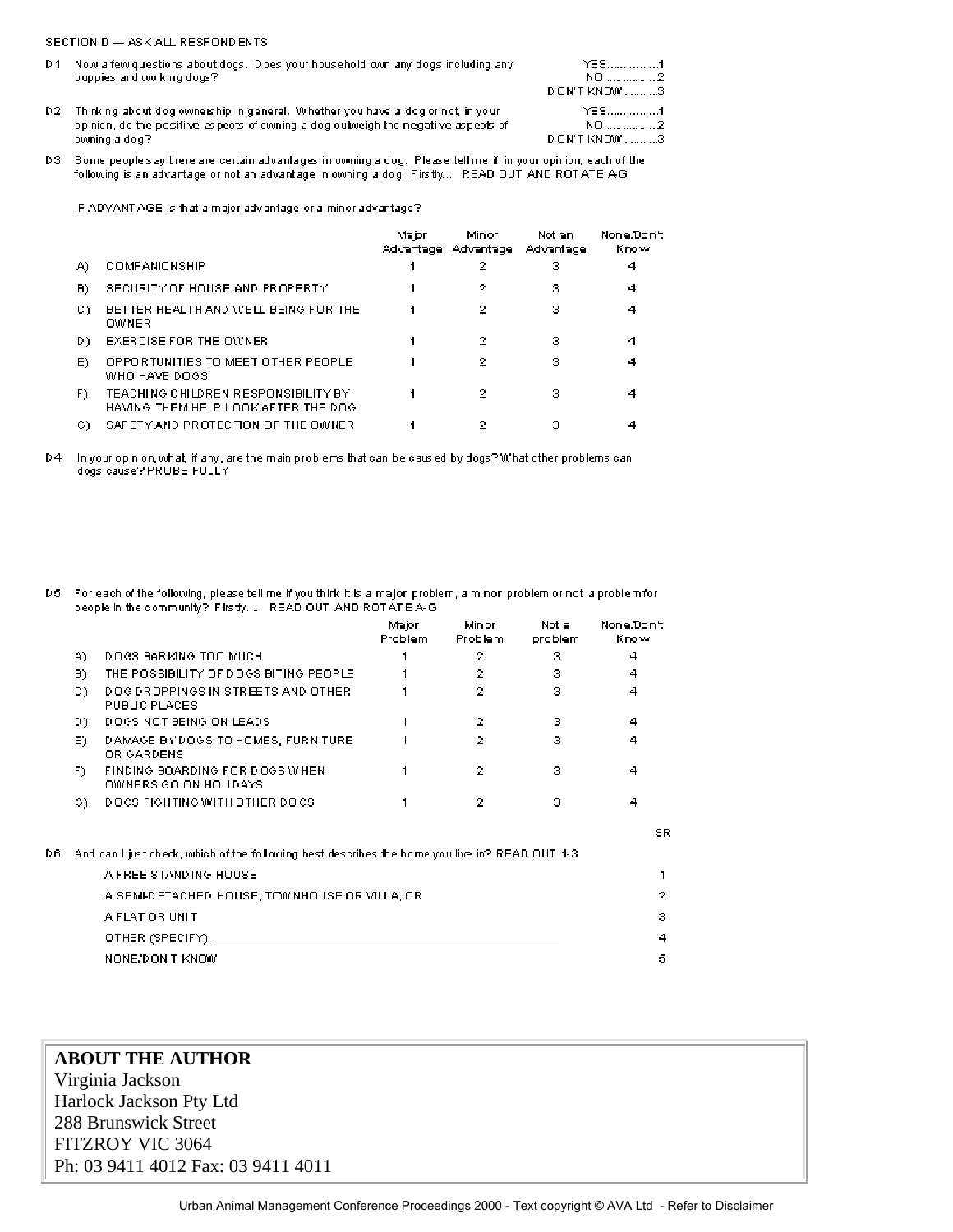#### SECTION D - ASK ALL RESPONDENTS

D6

|     | D1 Now a few questions about dogs. Does your household own any dogs including any<br>puppies and working dogs? | YES1<br>NO2         |
|-----|----------------------------------------------------------------------------------------------------------------|---------------------|
|     |                                                                                                                | <b>DON'T KNOW</b> 3 |
| D2. | Thinking about dog ownership in general. Whether you have a dog or not, in your                                | YES1                |
|     | opinion, do the positive as pects of owning a dog outweigh the negative aspects of                             | NO2                 |
|     | owning a dog?                                                                                                  | DON'T KNOW 3        |

D3 Some peoples ay there are certain advantages in owning a dog. Please tell me if, in your opinion, each of the following is an advantage or not an advantage in owning a dog. Firstly.... READ OUT AND ROTATE AG

IF ADVANT AGE is that a major advantage or a minor advantage?

|     |                                                                            | Major | Minor<br>Advantage Advantage | Not an<br>Advantage | None/Don't<br>Know |
|-----|----------------------------------------------------------------------------|-------|------------------------------|---------------------|--------------------|
| A)  | <b>COMPANIONSHIP</b>                                                       |       | 2                            | з                   | 4                  |
| B)  | SECURITY OF HOUSE AND PROPERTY                                             |       | 2                            | з                   | 4                  |
| C)  | BETTER HEALTH AND WELL BEING FOR THE<br>OWNER                              |       | 2                            | з                   |                    |
| D)  | EXERCISE FOR THE OWNER.                                                    |       | 2                            | з                   |                    |
| E). | OPPORTUNITIES TO MEET OTHER PEOPLE<br>WHO HAVE DOGS                        |       | 2                            | з                   |                    |
| F)  | TEACHING CHILDREN RESPONSIBILITY BY<br>HAVING THEM HELP LOOK AFTER THE DOG |       | 2                            | з                   |                    |
| G). | SAFETY AND PROTECTION OF THE OWNER                                         |       |                              | з                   |                    |

D4 In your opinion, what, if any, are the main problems that can be caused by dogs? What other problems can dogs cause? PROBE FULLY

D5 For each of the following, please tell me if you think it is a major problem, a minor problem or not a problem for people in the community? Firstly... READ OUT AND ROTATEA-G

|     |                                                                                                 | Major<br>Problem | Minor<br>Problem. | Not a<br>problem | None/Don't<br>Know |
|-----|-------------------------------------------------------------------------------------------------|------------------|-------------------|------------------|--------------------|
| A). | DOGS BARKING TOO MUCH                                                                           | 1                | 2                 | з                | 4                  |
| B)  | THE POSSIBILITY OF DOGS BITING PEOPLE.                                                          | 1                | 2                 | з                | 4                  |
| C)  | DOG DROPPINGS IN STREETS AND OTHER<br>PUBLIC PLACES                                             |                  | 2                 | з                | 4                  |
| D). | DOGS NOT BEING ON LEADS.                                                                        | 1                | 2                 | з                | 4                  |
| E)  | DAMAGE BY DOGS TO HOMES, FURNITURE<br>OR GARDENS                                                | 1                | 2                 | з                | 4                  |
| E). | FINDING BOARDING FOR DOGS WHEN<br>OWNERS GO ON HOLIDAYS                                         | 1                | 2                 | з                | 4                  |
| G). | <b>DOGS FIGHTING WITH OTHER DOGS</b>                                                            |                  | 2                 | з                | 4                  |
|     |                                                                                                 |                  |                   |                  | SR.                |
|     | And can I just check, which of the following best describes the home you live in? READ OUT 1-3. |                  |                   |                  |                    |
|     | A FREE STANDING HOUSE                                                                           |                  |                   |                  | 1                  |
|     | A SEMI-DETACHED HOUSE, TOW NHOUSE OR VILLA, OR                                                  |                  |                   |                  | 2                  |
|     | A FLAT OR UNIT                                                                                  |                  |                   |                  | з                  |
|     | OTHER (SPECIFY)                                                                                 |                  |                   |                  | 4                  |
|     | NONE/DON'T KNOW                                                                                 |                  |                   |                  | 5                  |

| <b>ABOUT THE AUTHOR</b>            |  |
|------------------------------------|--|
| Virginia Jackson                   |  |
| Harlock Jackson Pty Ltd            |  |
| 288 Brunswick Street               |  |
| FITZROY VIC 3064                   |  |
| Ph: 03 9411 4012 Fax: 03 9411 4011 |  |